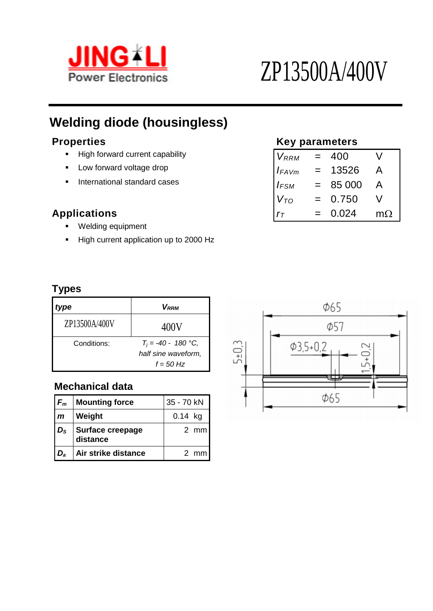

# **Welding diode (housingless)**

- **High forward current capability**
- **F** Low forward voltage drop
- **F** International standard cases

### $Applications$

- **Welding equipment**
- High current application up to 2000 Hz

### **Properties Key parameters**

| $V_{RRM}$          | $=$ | 400    |           |
|--------------------|-----|--------|-----------|
| $I_{FAVm}$         | $=$ | 13526  | A         |
| $I$ <sub>FSM</sub> | $=$ | 85 000 | A         |
| $V_{TO}$           | $=$ | 0.750  | V         |
| $r_{\tau}$         | $=$ | 0.024  | $m\Omega$ |

#### **Types**

| ype           | <b>V</b> <sub>RRM</sub> |  |
|---------------|-------------------------|--|
| ZP13500A/400V | 400V                    |  |
| Conditions:   | $T_i = -40 - 180$ °C,   |  |
|               | half sine waveform,     |  |
|               | $f = 50$ Hz             |  |

#### **Mechanical data**

| $F_m$        | <b>Mounting force</b>        | 35 - 70 kN |                |
|--------------|------------------------------|------------|----------------|
| $\mathsf{m}$ | Weight                       | $0.14$ kg  |                |
| $D_{\rm S}$  | Surface creepage<br>distance |            | $2 \, mm$      |
| $D_{\rm a}$  | Air strike distance          |            | $2 \text{ mm}$ |

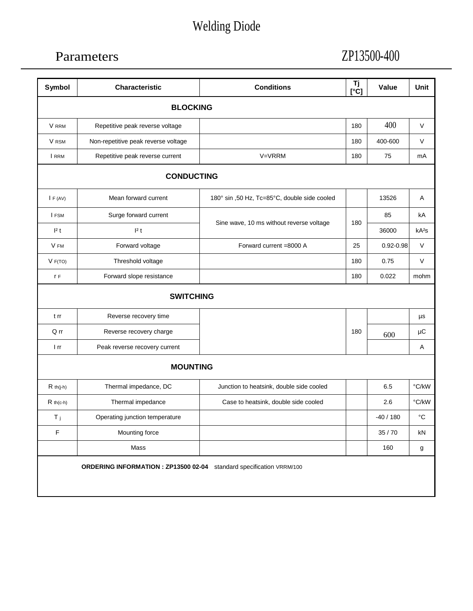# Welding Diode

## Parameters

# ZP13500-400

| <b>Symbol</b>   | <b>Characteristic</b>                                                | <b>Conditions</b>                            | Τj<br>$[\hat{C}]$ | <b>Value</b>  | <b>Unit</b>       |  |  |  |
|-----------------|----------------------------------------------------------------------|----------------------------------------------|-------------------|---------------|-------------------|--|--|--|
| <b>BLOCKING</b> |                                                                      |                                              |                   |               |                   |  |  |  |
| V RRM           | Repetitive peak reverse voltage                                      |                                              | 180               | 400           | $\vee$            |  |  |  |
| V RSM           | Non-repetitive peak reverse voltage                                  |                                              | 180               | 400-600       | V                 |  |  |  |
| I RRM           | Repetitive peak reverse current                                      | V=VRRM                                       | 180               | 75            | mA                |  |  |  |
|                 | <b>CONDUCTING</b>                                                    |                                              |                   |               |                   |  |  |  |
| IF (AV)         | Mean forward current                                                 | 180° sin ,50 Hz, Tc=85°C, double side cooled |                   | 13526         | Α                 |  |  |  |
| I FSM           | Surge forward current                                                |                                              | 180               | 85            | kA                |  |  |  |
| 2t              | 2t                                                                   | Sine wave, 10 ms without reverse voltage     |                   | 36000         | kA <sup>2</sup> S |  |  |  |
| V FM            | Forward voltage                                                      | Forward current =8000 A                      | 25                | $0.92 - 0.98$ | V                 |  |  |  |
| V F(TO)         | Threshold voltage                                                    |                                              | 180               | 0.75          | V                 |  |  |  |
| r F             | Forward slope resistance                                             |                                              | 180               | 0.022         | mohm              |  |  |  |
|                 | <b>SWITCHING</b>                                                     |                                              |                   |               |                   |  |  |  |
| t rr            | Reverse recovery time                                                |                                              |                   |               | μs                |  |  |  |
| Q rr            | Reverse recovery charge                                              |                                              | 180               | 600           | $\mu$ C           |  |  |  |
| 1 rr            | Peak reverse recovery current                                        |                                              |                   |               | Α                 |  |  |  |
|                 | <b>MOUNTING</b>                                                      |                                              |                   |               |                   |  |  |  |
| $R$ th(j-h)     | Thermal impedance, DC                                                | Junction to heatsink, double side cooled     |                   | 6.5           | °C/kW             |  |  |  |
| $R$ th(c-h)     | Thermal impedance                                                    | Case to heatsink, double side cooled         |                   | 2.6           | °C/kW             |  |  |  |
| Τj.             | Operating junction temperature                                       |                                              |                   | $-40/180$     | $^{\circ}C$       |  |  |  |
| F               | Mounting force                                                       |                                              |                   | 35/70         | kN                |  |  |  |
|                 | Mass                                                                 |                                              |                   | 160           | g                 |  |  |  |
|                 | ORDERING INFORMATION : ZP13500 02-04 standard specification VRRM/100 |                                              |                   |               |                   |  |  |  |